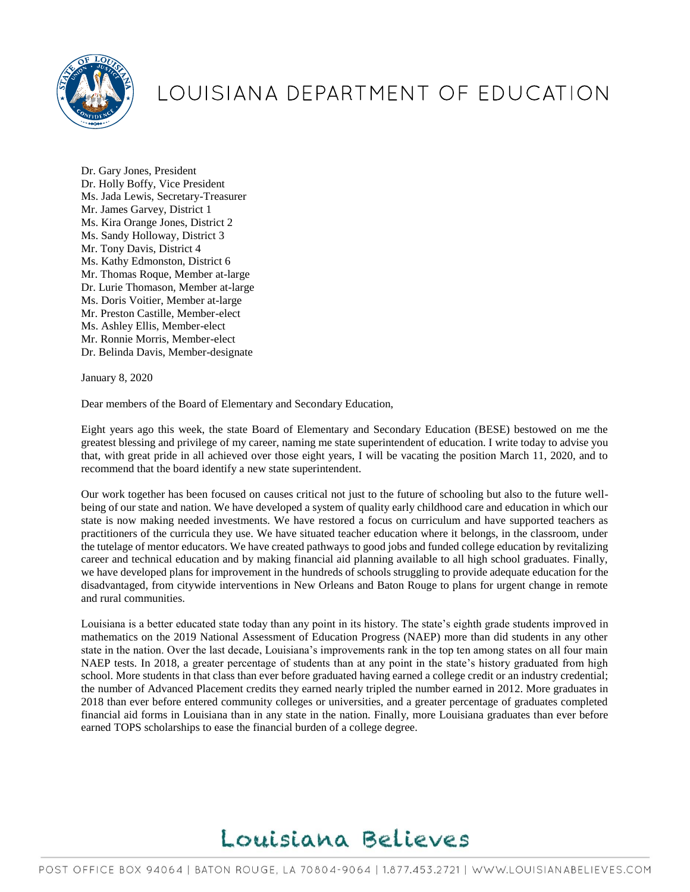

## LOUISIANA DEPARTMENT OF EDUCATION

Dr. Gary Jones, President Dr. Holly Boffy, Vice President Ms. Jada Lewis, Secretary-Treasurer Mr. James Garvey, District 1 Ms. Kira Orange Jones, District 2 Ms. Sandy Holloway, District 3 Mr. Tony Davis, District 4 Ms. Kathy Edmonston, District 6 Mr. Thomas Roque, Member at-large Dr. Lurie Thomason, Member at-large Ms. Doris Voitier, Member at-large Mr. Preston Castille, Member-elect Ms. Ashley Ellis, Member-elect Mr. Ronnie Morris, Member-elect Dr. Belinda Davis, Member-designate

January 8, 2020

Dear members of the Board of Elementary and Secondary Education,

Eight years ago this week, the state Board of Elementary and Secondary Education (BESE) bestowed on me the greatest blessing and privilege of my career, naming me state superintendent of education. I write today to advise you that, with great pride in all achieved over those eight years, I will be vacating the position March 11, 2020, and to recommend that the board identify a new state superintendent.

Our work together has been focused on causes critical not just to the future of schooling but also to the future wellbeing of our state and nation. We have developed a system of quality early childhood care and education in which our state is now making needed investments. We have restored a focus on curriculum and have supported teachers as practitioners of the curricula they use. We have situated teacher education where it belongs, in the classroom, under the tutelage of mentor educators. We have created pathways to good jobs and funded college education by revitalizing career and technical education and by making financial aid planning available to all high school graduates. Finally, we have developed plans for improvement in the hundreds of schools struggling to provide adequate education for the disadvantaged, from citywide interventions in New Orleans and Baton Rouge to plans for urgent change in remote and rural communities.

Louisiana is a better educated state today than any point in its history. The state's eighth grade students improved in mathematics on the 2019 National Assessment of Education Progress (NAEP) more than did students in any other state in the nation. Over the last decade, Louisiana's improvements rank in the top ten among states on all four main NAEP tests. In 2018, a greater percentage of students than at any point in the state's history graduated from high school. More students in that class than ever before graduated having earned a college credit or an industry credential; the number of Advanced Placement credits they earned nearly tripled the number earned in 2012. More graduates in 2018 than ever before entered community colleges or universities, and a greater percentage of graduates completed financial aid forms in Louisiana than in any state in the nation. Finally, more Louisiana graduates than ever before earned TOPS scholarships to ease the financial burden of a college degree.

## Louisiana Believes